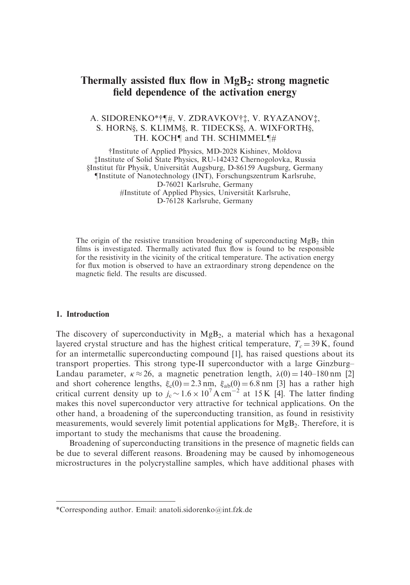# Thermally assisted flux flow in  $MgB<sub>2</sub>$ : strong magnetic field dependence of the activation energy

# A. SIDORENKO\*†¶#, V. ZDRAVKOV††, V. RYAZANOV†, S. HORN§, S. KLIMM§, R. TIDECKS§, A. WIXFORTH§, TH. KOCH¶ and TH. SCHIMMEL¶#

yInstitute of Applied Physics, MD-2028 Kishinev, Moldova zInstitute of Solid State Physics, RU-142432 Chernogolovka, Russia }Institut fu¨r Physik, Universita¨t Augsburg, D-86159 Augsburg, Germany Institute of Nanotechnology (INT), Forschungszentrum Karlsruhe, D-76021 Karlsruhe, Germany #Institute of Applied Physics, Universität Karlsruhe, D-76128 Karlsruhe, Germany

The origin of the resistive transition broadening of superconducting  $MgB<sub>2</sub>$  thin films is investigated. Thermally activated flux flow is found to be responsible for the resistivity in the vicinity of the critical temperature. The activation energy for flux motion is observed to have an extraordinary strong dependence on the magnetic field. The results are discussed.

#### 1. Introduction

The discovery of superconductivity in  $MgB<sub>2</sub>$ , a material which has a hexagonal layered crystal structure and has the highest critical temperature,  $T_c = 39$  K, found for an intermetallic superconducting compound [1], has raised questions about its transport properties. This strong type-II superconductor with a large Ginzburg– Landau parameter,  $\kappa \approx 26$ , a magnetic penetration length,  $\lambda(0) = 140 - 180$  nm [2] and short coherence lengths,  $\xi_c(0) = 2.3$  nm,  $\xi_{ab}(0) = 6.8$  nm [3] has a rather high critical current density up to  $j_c \sim 1.6 \times 10^7$  A cm<sup>-2</sup> at 15 K [4]. The latter finding makes this novel superconductor very attractive for technical applications. On the other hand, a broadening of the superconducting transition, as found in resistivity measurements, would severely limit potential applications for MgB<sub>2</sub>. Therefore, it is important to study the mechanisms that cause the broadening.

Broadening of superconducting transitions in the presence of magnetic fields can be due to several different reasons. Broadening may be caused by inhomogeneous microstructures in the polycrystalline samples, which have additional phases with

<sup>\*</sup>Corresponding author. Email: anatoli.sidorenko@int.fzk.de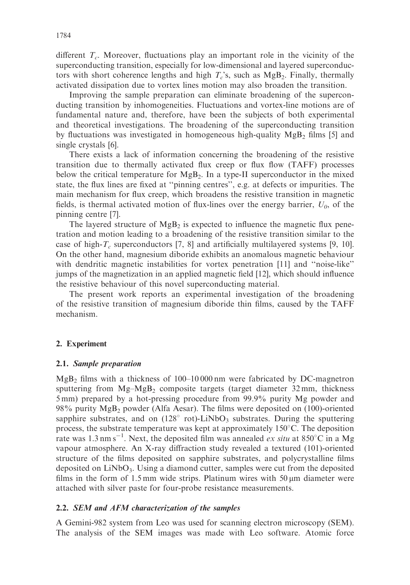different  $T_c$ . Moreover, fluctuations play an important role in the vicinity of the superconducting transition, especially for low-dimensional and layered superconductors with short coherence lengths and high  $T_c$ 's, such as  $MgB_2$ . Finally, thermally activated dissipation due to vortex lines motion may also broaden the transition.

Improving the sample preparation can eliminate broadening of the superconducting transition by inhomogeneities. Fluctuations and vortex-line motions are of fundamental nature and, therefore, have been the subjects of both experimental and theoretical investigations. The broadening of the superconducting transition by fluctuations was investigated in homogeneous high-quality  $MgB<sub>2</sub>$  films [5] and single crystals [6].

There exists a lack of information concerning the broadening of the resistive transition due to thermally activated flux creep or flux flow (TAFF) processes below the critical temperature for  $MgB<sub>2</sub>$ . In a type-II superconductor in the mixed state, the flux lines are fixed at ''pinning centres'', e.g. at defects or impurities. The main mechanism for flux creep, which broadens the resistive transition in magnetic fields, is thermal activated motion of flux-lines over the energy barrier,  $U_0$ , of the pinning centre [7].

The layered structure of  $MgB_2$  is expected to influence the magnetic flux penetration and motion leading to a broadening of the resistive transition similar to the case of high- $T_c$  superconductors [7, 8] and artificially multilayered systems [9, 10]. On the other hand, magnesium diboride exhibits an anomalous magnetic behaviour with dendritic magnetic instabilities for vortex penetration [11] and ''noise-like'' jumps of the magnetization in an applied magnetic field [12], which should influence the resistive behaviour of this novel superconducting material.

The present work reports an experimental investigation of the broadening of the resistive transition of magnesium diboride thin films, caused by the TAFF mechanism.

# 2. Experiment

#### 2.1. Sample preparation

 $MgB<sub>2</sub>$  films with a thickness of 100–10 000 nm were fabricated by DC-magnetron sputtering from  $Mg-MgB_2$  composite targets (target diameter 32 mm, thickness 5 mm) prepared by a hot-pressing procedure from 99.9% purity Mg powder and 98% purity  $MgB<sub>2</sub>$  powder (Alfa Aesar). The films were deposited on (100)-oriented sapphire substrates, and on  $(128^{\circ} \text{ rot})$ -LiNbO<sub>3</sub> substrates. During the sputtering process, the substrate temperature was kept at approximately 150 C. The deposition rate was 1.3 nm s<sup>-1</sup>. Next, the deposited film was annealed *ex situ* at 850°C in a Mg vapour atmosphere. An X-ray diffraction study revealed a textured (101)-oriented structure of the films deposited on sapphire substrates, and polycrystalline films deposited on LiNbO3. Using a diamond cutter, samples were cut from the deposited films in the form of 1.5 mm wide strips. Platinum wires with  $50 \mu m$  diameter were attached with silver paste for four-probe resistance measurements.

# 2.2. SEM and AFM characterization of the samples

A Gemini-982 system from Leo was used for scanning electron microscopy (SEM). The analysis of the SEM images was made with Leo software. Atomic force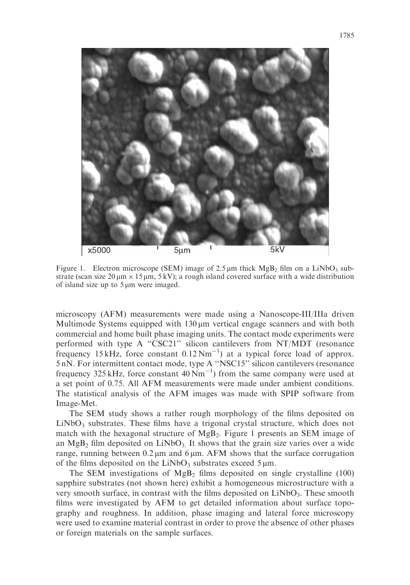

Figure 1. Electron microscope (SEM) image of 2.5  $\mu$ m thick MgB<sub>2</sub> film on a LiNbO<sub>3</sub> substrate (scan size  $20 \mu m \times 15 \mu m$ ,  $5 \text{ kV}$ ); a rough island covered surface with a wide distribution of island size up to  $5 \mu m$  were imaged.

microscopy (AFM) measurements were made using a Nanoscope-III/IIIa driven Multimode Systems equipped with  $130 \mu m$  vertical engage scanners and with both commercial and home built phase imaging units. The contact mode experiments were performed with type A ''CSC21'' silicon cantilevers from NT/MDT (resonance frequency  $15 \text{ kHz}$ , force constant  $0.12 \text{ Nm}^{-1}$ ) at a typical force load of approx. 5 nN. For intermittent contact mode, type A ''NSC15'' silicon cantilevers (resonance frequency 325 kHz, force constant  $40 \text{ Nm}^{-1}$ ) from the same company were used at a set point of 0.75. All AFM measurements were made under ambient conditions. The statistical analysis of the AFM images was made with SPIP software from Image-Met.

The SEM study shows a rather rough morphology of the films deposited on  $LiNbO<sub>3</sub>$  substrates. These films have a trigonal crystal structure, which does not match with the hexagonal structure of  $MgB_2$ . Figure 1 presents an SEM image of an MgB<sub>2</sub> film deposited on LiNbO<sub>3</sub>. It shows that the grain size varies over a wide range, running between  $0.2 \mu m$  and  $6 \mu m$ . AFM shows that the surface corrugation of the films deposited on the LiNbO<sub>3</sub> substrates exceed  $5 \mu m$ .

The SEM investigations of  $MgB_2$  films deposited on single crystalline (100) sapphire substrates (not shown here) exhibit a homogeneous microstructure with a very smooth surface, in contrast with the films deposited on LiNbO<sub>3</sub>. These smooth films were investigated by AFM to get detailed information about surface topography and roughness. In addition, phase imaging and lateral force microscopy were used to examine material contrast in order to prove the absence of other phases or foreign materials on the sample surfaces.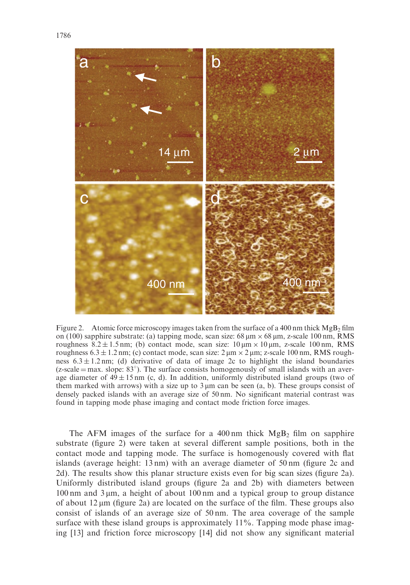

Figure 2. Atomic force microscopy images taken from the surface of a 400 nm thick  $MgB_2$  film on (100) sapphire substrate: (a) tapping mode, scan size:  $68 \mu m \times 68 \mu m$ , z-scale 100 nm, RMS roughness  $8.2 \pm 1.5$  nm; (b) contact mode, scan size:  $10 \mu m \times 10 \mu m$ , z-scale 100 nm, RMS roughness  $6.3 \pm 1.2$  nm; (c) contact mode, scan size:  $2 \mu m \times 2 \mu m$ ; z-scale 100 nm, RMS roughness  $6.3 \pm 1.2$  nm; (d) derivative of data of image 2c to highlight the island boundaries  $(z$ -scale = max. slope:  $83^{\circ}$ ). The surface consists homogenously of small islands with an average diameter of  $49 \pm 15$  nm (c, d). In addition, uniformly distributed island groups (two of them marked with arrows) with a size up to  $3 \mu$ m can be seen  $(a, b)$ . These groups consist of densely packed islands with an average size of 50 nm. No significant material contrast was found in tapping mode phase imaging and contact mode friction force images.

The AFM images of the surface for a 400 nm thick  $MgB<sub>2</sub>$  film on sapphire substrate (figure 2) were taken at several different sample positions, both in the contact mode and tapping mode. The surface is homogenously covered with flat islands (average height: 13 nm) with an average diameter of 50 nm (figure 2c and 2d). The results show this planar structure exists even for big scan sizes (figure 2a). Uniformly distributed island groups (figure 2a and 2b) with diameters between  $100 \text{ nm}$  and  $3 \mu \text{m}$ , a height of about 100 nm and a typical group to group distance of about  $12 \mu m$  (figure 2a) are located on the surface of the film. These groups also consist of islands of an average size of 50 nm. The area coverage of the sample surface with these island groups is approximately 11%. Tapping mode phase imaging [13] and friction force microscopy [14] did not show any significant material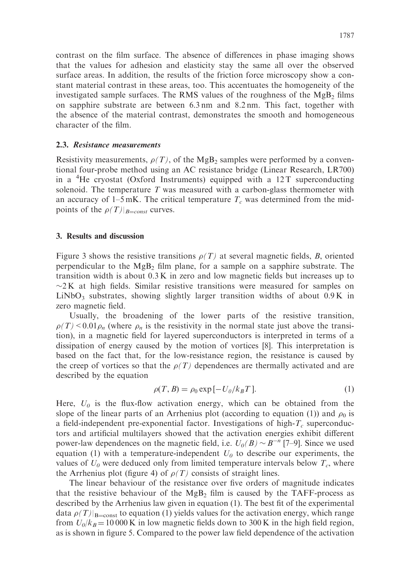contrast on the film surface. The absence of differences in phase imaging shows that the values for adhesion and elasticity stay the same all over the observed surface areas. In addition, the results of the friction force microscopy show a constant material contrast in these areas, too. This accentuates the homogeneity of the investigated sample surfaces. The RMS values of the roughness of the  $MgB<sub>2</sub>$  films on sapphire substrate are between 6.3 nm and 8.2 nm. This fact, together with the absence of the material contrast, demonstrates the smooth and homogeneous character of the film.

# 2.3. Resistance measurements

Resistivity measurements,  $\rho(T)$ , of the MgB<sub>2</sub> samples were performed by a conventional four-probe method using an AC resistance bridge (Linear Research, LR700) in a <sup>4</sup>He cryostat (Oxford Instruments) equipped with a 12T superconducting solenoid. The temperature  $T$  was measured with a carbon-glass thermometer with an accuracy of 1–5 mK. The critical temperature  $T_c$  was determined from the midpoints of the  $\rho(T)|_{B=const}$  curves.

# 3. Results and discussion

Figure 3 shows the resistive transitions  $\rho(T)$  at several magnetic fields, B, oriented perpendicular to the  $MgB<sub>2</sub>$  film plane, for a sample on a sapphire substrate. The transition width is about 0.3 K in zero and low magnetic fields but increases up to  $\sim$ 2K at high fields. Similar resistive transitions were measured for samples on  $LiNbO<sub>3</sub>$  substrates, showing slightly larger transition widths of about 0.9 K in zero magnetic field.

Usually, the broadening of the lower parts of the resistive transition,  $\rho(T)$  < 0.01 $\rho_n$  (where  $\rho_n$  is the resistivity in the normal state just above the transition), in a magnetic field for layered superconductors is interpreted in terms of a dissipation of energy caused by the motion of vortices [8]. This interpretation is based on the fact that, for the low-resistance region, the resistance is caused by the creep of vortices so that the  $\rho(T)$  dependences are thermally activated and are described by the equation

$$
\rho(T, B) = \rho_0 \exp[-U_0/k_B T]. \tag{1}
$$

Here,  $U_0$  is the flux-flow activation energy, which can be obtained from the slope of the linear parts of an Arrhenius plot (according to equation (1)) and  $\rho_0$  is a field-independent pre-exponential factor. Investigations of high- $T_c$  superconductors and artificial multilayers showed that the activation energies exhibit different power-law dependences on the magnetic field, i.e.  $U_0(B) \sim B^{-n}$  [7–9]. Since we used equation (1) with a temperature-independent  $U_0$  to describe our experiments, the values of  $U_0$  were deduced only from limited temperature intervals below  $T_c$ , where the Arrhenius plot (figure 4) of  $\rho(T)$  consists of straight lines.

The linear behaviour of the resistance over five orders of magnitude indicates that the resistive behaviour of the  $Mg_{B_2}$  film is caused by the TAFF-process as described by the Arrhenius law given in equation (1). The best fit of the experimental data  $\rho(T)|_{\text{B}=\text{const}}$  to equation (1) yields values for the activation energy, which range from  $U_0/k_B = 10000 \text{ K}$  in low magnetic fields down to 300 K in the high field region, as is shown in figure 5. Compared to the power law field dependence of the activation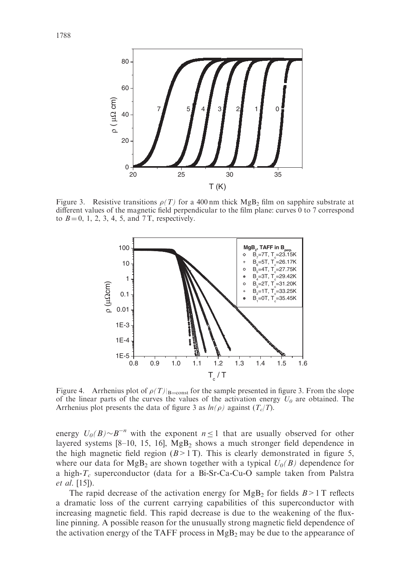

Figure 3. Resistive transitions  $\rho(T)$  for a 400 nm thick MgB<sub>2</sub> film on sapphire substrate at different values of the magnetic field perpendicular to the film plane: curves 0 to 7 correspond to  $B = 0, 1, 2, 3, 4, 5,$  and 7T, respectively.



Figure 4. Arrhenius plot of  $\rho(T)|_{\text{B}=\text{const}}$  for the sample presented in figure 3. From the slope of the linear parts of the curves the values of the activation energy  $U_0$  are obtained. The Arrhenius plot presents the data of figure 3 as  $ln(\rho)$  against  $(T_c/T)$ .

energy  $U_0(B) \sim B^{-n}$  with the exponent  $n \le 1$  that are usually observed for other layered systems  $[8-10, 15, 16]$ , MgB<sub>2</sub> shows a much stronger field dependence in the high magnetic field region  $(B>1T)$ . This is clearly demonstrated in figure 5, where our data for  $MgB_2$  are shown together with a typical  $U_0(B)$  dependence for a high- $T_c$  superconductor (data for a Bi-Sr-Ca-Cu-O sample taken from Palstra et al. [15]).

The rapid decrease of the activation energy for  $MgB_2$  for fields  $B > 1$  T reflects a dramatic loss of the current carrying capabilities of this superconductor with increasing magnetic field. This rapid decrease is due to the weakening of the fluxline pinning. A possible reason for the unusually strong magnetic field dependence of the activation energy of the TAFF process in  $MgB<sub>2</sub>$  may be due to the appearance of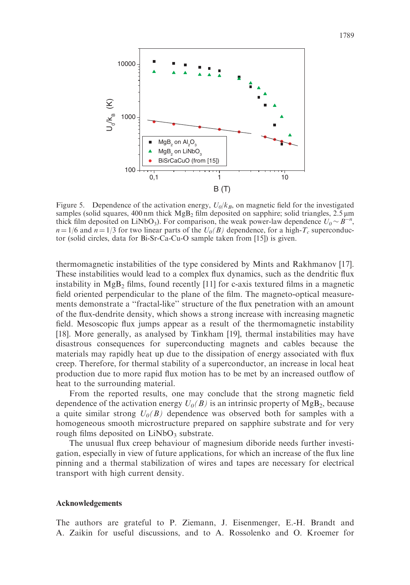

Figure 5. Dependence of the activation energy,  $U_0/k_B$ , on magnetic field for the investigated samples (solid squares, 400 nm thick  $MgB<sub>2</sub>$  film deposited on sapphire; solid triangles, 2.5  $\mu$ m thick film deposited on LiNbO<sub>3</sub>). For comparison, the weak power-law dependence  $U_0 \sim B^{-n}$ ,  $n = 1/6$  and  $n = 1/3$  for two linear parts of the  $U_0(B)$  dependence, for a high- $T_c$  superconductor (solid circles, data for Bi-Sr-Ca-Cu-O sample taken from [15]) is given.

 $B(T)$ 

thermomagnetic instabilities of the type considered by Mints and Rakhmanov [17]. These instabilities would lead to a complex flux dynamics, such as the dendritic flux instability in  $MgB_2$  films, found recently [11] for c-axis textured films in a magnetic field oriented perpendicular to the plane of the film. The magneto-optical measurements demonstrate a ''fractal-like'' structure of the flux penetration with an amount of the flux-dendrite density, which shows a strong increase with increasing magnetic field. Mesoscopic flux jumps appear as a result of the thermomagnetic instability [18]. More generally, as analysed by Tinkham [19], thermal instabilities may have disastrous consequences for superconducting magnets and cables because the materials may rapidly heat up due to the dissipation of energy associated with flux creep. Therefore, for thermal stability of a superconductor, an increase in local heat production due to more rapid flux motion has to be met by an increased outflow of heat to the surrounding material.

From the reported results, one may conclude that the strong magnetic field dependence of the activation energy  $U_0(B)$  is an intrinsic property of MgB<sub>2</sub>, because a quite similar strong  $U_0(B)$  dependence was observed both for samples with a homogeneous smooth microstructure prepared on sapphire substrate and for very rough films deposited on  $LiNbO<sub>3</sub>$  substrate.

The unusual flux creep behaviour of magnesium diboride needs further investigation, especially in view of future applications, for which an increase of the flux line pinning and a thermal stabilization of wires and tapes are necessary for electrical transport with high current density.

#### Acknowledgements

The authors are grateful to P. Ziemann, J. Eisenmenger, E.-H. Brandt and A. Zaikin for useful discussions, and to A. Rossolenko and O. Kroemer for